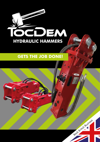

# **GETS THE JOB DONE!**

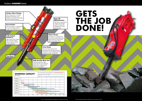#### **Unique Valve Design**

Easy maintenance. It lessens pressure fluctuation, and therefore any potential damage to the machine driving it.

#### **Accumulator**

The accumulator compensates for and any high pressure surges in the hydraulic circuit.

**Tool Bush**

#### **High Quality Work Tool**

Manufactured from high grade steel & heat treated for performance. Moil point & chisels are available.

#### **Piston Stroke**

The piston is manufactured from heat treated high grade steel and has a long stroke which minimises recoil.

#### **Fully Sealed Enclosure**

High quality heat treated fully enclosed welded body to reduce noise & increase lifespan.

#### **Ease Of Maintenance**

With fewer components, ample space & high quality components maintenance is both quick & easy.

### **Front Head**

The front head prevents the whole Hammer taking each blow. The body is also hardened & heat treated ensuring a longer life.

# **GETS DONE!**



# TocDem **HAMMER** Detail

| <b>WORKING CAPACITY</b><br>(8hr/day) |      |     |     |     |     | Non-reinforced concrete (t:30cm)<br>Reinforced concrete (t:30cm)<br>Hard rock |     |     |     |     |        |  |
|--------------------------------------|------|-----|-----|-----|-----|-------------------------------------------------------------------------------|-----|-----|-----|-----|--------|--|
| TEB02                                |      |     |     |     |     |                                                                               |     |     |     |     |        |  |
| TEB04                                |      |     |     |     |     |                                                                               |     |     |     |     |        |  |
| TEB05                                |      |     |     |     |     |                                                                               |     |     |     |     |        |  |
| CJB06                                |      |     |     |     |     |                                                                               |     |     |     |     |        |  |
| CJB08                                |      |     |     |     |     |                                                                               |     |     |     |     |        |  |
| CJB10                                |      |     |     |     |     |                                                                               |     |     |     |     |        |  |
| <b>TEB12</b>                         |      |     |     |     |     |                                                                               |     |     |     |     |        |  |
|                                      | 5 50 | 100 | 200 | 300 | 400 | 500                                                                           | 600 | 700 | 800 | 900 | 1000m3 |  |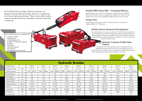All CJ JH Plant & Tools TocDem Hydraulic Hammers are designed using the latest technology, advances in engineering & to the very highest specification. These units are able to easily cope with the demands of any Demolition, Mining, Construction or Utility site.

- 2 Points / Chisels
- Head Bracket
- 2 Head Bracket Pins
- 2 Hydraulic Hoses & Couplings
- Tool Box
- Gas Bottle
- Instruction Manual
- Parts Manual
- **CE Certificate Of Conformity**

| Every TocDem Hammer is supplied with: |  |  |  |  |
|---------------------------------------|--|--|--|--|
|---------------------------------------|--|--|--|--|

# Excellent BPM Impact Rate – Increasing efficiency

TocDem Hammers give a severe and deep impact, coupled with a fast and efficient BPM "Blows Per Minute". When put up against the competition the TocDem Hammer outperforms by virtue of its unique design & therefore saves you time and money.

## Energy Class

TocDem Hammers range from 121ft lb / 165 Joules through to a powerful and substantial 8850 ft lb / 12000 Joules.

# Quality Control, Research & Development

As a service business as well as a manufacturer CJ JH Plant & Tools appreciate the need for quality control. A number of rigorous pre delivery inspections and test are carried out before any Hammer is supplied. As well as this CJ JH Plant & Tools are always evaluation current technology & latest techniques in an effort to constantly improve the product range.

# Technical, Customer & After Sales Support

A key feature of CJ JH Plant & Tools is always "standing behind" and supporting any product we sell. With this in mind we always stock a full range of all spares for TocDem Hammers available for immediate delivery and are always available to give technical advice & support on the range.

| <b>Hydraulic Breaker</b>  |            |                 |                 |                 |                   |                   |                   |                   |                   |                    |
|---------------------------|------------|-----------------|-----------------|-----------------|-------------------|-------------------|-------------------|-------------------|-------------------|--------------------|
| Model Number              |            | <b>TEB 00</b>   | <b>TEB 01</b>   | <b>TEB 02</b>   | TEB <sub>04</sub> | <b>TEB 05</b>     | <b>TEB 06</b>     | <b>TEB 08</b>     | <b>TEB 10</b>     | <b>TEB 12</b>      |
| Suitable Excavator        | tonne      | $0.8 - 1.6$     | $1.2 - 3.0$     | $2.0 - 4.0$     | $4.0 - 7.0$       | $8.0 - 10.0$      | $11.0 - 18.0$     | 19-26             | 28-40             | 40-55              |
| Suitable Excavator        | lbs        | 1760 - 3520 lbs | 2600 - 6600 lbs | 4400 - 8800 lbs | 8800 - 15400 lbs  | 7,600 - 22000 lbs | 24200 - 39600 lbs | 41800 - 57200 lbs | 61600 - 88000 lbs | 88000 - 121000 lbs |
| <b>Chisel Diameter</b>    | mm         | 40              | 45              | 53              | 75                | 85                | 100               | 140               | 155               | 175                |
| <b>Total Weight</b>       | kg         | 90              | 125             | 180             | 421               | 577               | 973               | 1989              | 2950              | 4210               |
| Total Weight Ibs          | lbs        | 198             | 275             | 396             | 926.2             | 1269.4            | 2140.6            | 4375.8            | 6490              | 9262               |
| Overall Length            | mm         | 983             | 1100            | 1100            | 1528              | 1920              | 2260              | 2810              | 3152              | 3400               |
| <b>Operating Pressure</b> | kg/cm2     | 90-120          | 90-120          | 90-120          | 110-160           | 120-170           | 150-170           | 160-180           | 160-180           | 160-180            |
| Oil Flow                  | 1/min      | $15 - 25$       | $15 - 25$       | $15 - 25$       | $30 - 45$         | 45-85             | 80-120            | 130-170           | 170-220           | 210-290            |
| Impact Rate               | <b>BPM</b> | 800-1400        | 700-1200        | 700-1200        | 500-800           | 400-700           | 400-700           | 400-600           | 250-400           | 200-350            |
| <b>Energy Class</b>       | ft Ib      | 150             | 250             | 650             | 1000              | 1500              | 4000              | 6000              | 8000              | 10000              |
| <b>Hose Diameter</b>      | inch       | 1/2"            | $1/2$ "         | $1/2$ "         | $1/2$ "           | 3/4"              | 3/4"              | 1"                | 1"                | 1.25"              |